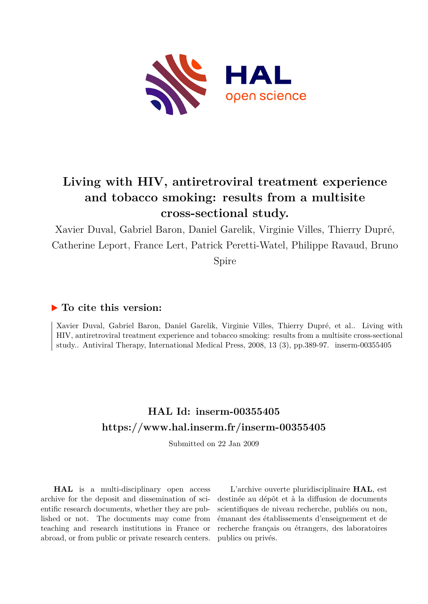

# **Living with HIV, antiretroviral treatment experience and tobacco smoking: results from a multisite cross-sectional study.**

Xavier Duval, Gabriel Baron, Daniel Garelik, Virginie Villes, Thierry Dupré, Catherine Leport, France Lert, Patrick Peretti-Watel, Philippe Ravaud, Bruno

Spire

## **To cite this version:**

Xavier Duval, Gabriel Baron, Daniel Garelik, Virginie Villes, Thierry Dupré, et al.. Living with HIV, antiretroviral treatment experience and tobacco smoking: results from a multisite cross-sectional study.. Antiviral Therapy, International Medical Press, 2008, 13 (3), pp.389-97. inserm-00355405

## **HAL Id: inserm-00355405 <https://www.hal.inserm.fr/inserm-00355405>**

Submitted on 22 Jan 2009

**HAL** is a multi-disciplinary open access archive for the deposit and dissemination of scientific research documents, whether they are published or not. The documents may come from teaching and research institutions in France or abroad, or from public or private research centers.

L'archive ouverte pluridisciplinaire **HAL**, est destinée au dépôt et à la diffusion de documents scientifiques de niveau recherche, publiés ou non, émanant des établissements d'enseignement et de recherche français ou étrangers, des laboratoires publics ou privés.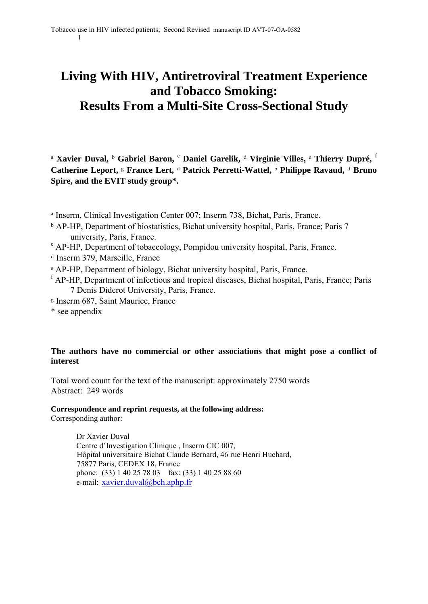# **Living With HIV, Antiretroviral Treatment Experience and Tobacco Smoking: Results From a Multi-Site Cross-Sectional Study**

<sup>a</sup> **Xavier Duval,** <sup>b</sup> **Gabriel Baron,** <sup>c</sup> **Daniel Garelik,** d **Virginie Villes,** <sup>e</sup> **Thierry Dupré,** <sup>f</sup> **Catherine Leport,** <sup>g</sup> **France Lert,** <sup>d</sup> **Patrick Perretti-Wattel,** <sup>b</sup> **Philippe Ravaud,** <sup>d</sup> **Bruno Spire, and the EVIT study group\*.** 

- <sup>a</sup> Inserm, Clinical Investigation Center 007; Inserm 738, Bichat, Paris, France.
- <sup>b</sup> AP-HP, Department of biostatistics, Bichat university hospital, Paris, France; Paris 7 university, Paris, France.
- AP-HP, Department of tobaccology, Pompidou university hospital, Paris, France.
- <sup>d</sup> Inserm 379, Marseille, France
- <sup>e</sup> AP-HP, Department of biology, Bichat university hospital, Paris, France.
- f AP-HP, Department of infectious and tropical diseases, Bichat hospital, Paris, France; Paris 7 Denis Diderot University, Paris, France.
- <sup>g</sup> Inserm 687, Saint Maurice, France
- \* see appendix

1

#### **The authors have no commercial or other associations that might pose a conflict of interest**

Total word count for the text of the manuscript: approximately 2750 words Abstract: 249 words

#### **Correspondence and reprint requests, at the following address:**

Corresponding author:

Dr Xavier Duval Centre d'Investigation Clinique , Inserm CIC 007, Hôpital universitaire Bichat Claude Bernard, 46 rue Henri Huchard, 75877 Paris, CEDEX 18, France phone: (33) 1 40 25 78 03 fax: (33) 1 40 25 88 60 e-mail: xavier.duval@bch.aphp.fr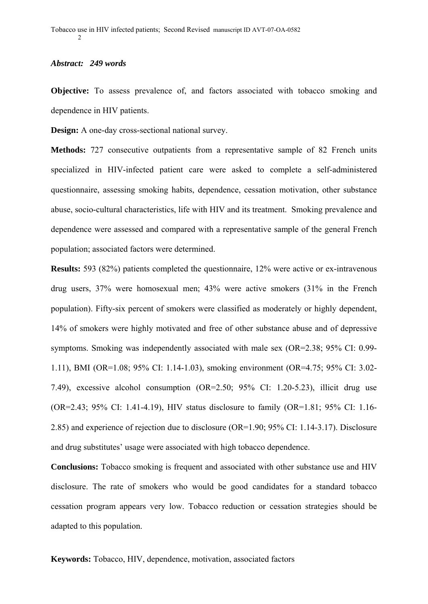#### *Abstract: 249 words*

**Objective:** To assess prevalence of, and factors associated with tobacco smoking and dependence in HIV patients.

**Design:** A one-day cross-sectional national survey.

**Methods:** 727 consecutive outpatients from a representative sample of 82 French units specialized in HIV-infected patient care were asked to complete a self-administered questionnaire, assessing smoking habits, dependence, cessation motivation, other substance abuse, socio-cultural characteristics, life with HIV and its treatment. Smoking prevalence and dependence were assessed and compared with a representative sample of the general French population; associated factors were determined.

**Results:** 593 (82%) patients completed the questionnaire, 12% were active or ex-intravenous drug users, 37% were homosexual men; 43% were active smokers (31% in the French population). Fifty-six percent of smokers were classified as moderately or highly dependent, 14% of smokers were highly motivated and free of other substance abuse and of depressive symptoms. Smoking was independently associated with male sex (OR=2.38; 95% CI: 0.99- 1.11), BMI (OR=1.08; 95% CI: 1.14-1.03), smoking environment (OR=4.75; 95% CI: 3.02- 7.49), excessive alcohol consumption (OR=2.50; 95% CI: 1.20-5.23), illicit drug use (OR=2.43; 95% CI: 1.41-4.19), HIV status disclosure to family (OR=1.81; 95% CI: 1.16- 2.85) and experience of rejection due to disclosure (OR=1.90; 95% CI: 1.14-3.17). Disclosure and drug substitutes' usage were associated with high tobacco dependence.

**Conclusions:** Tobacco smoking is frequent and associated with other substance use and HIV disclosure. The rate of smokers who would be good candidates for a standard tobacco cessation program appears very low. Tobacco reduction or cessation strategies should be adapted to this population.

**Keywords:** Tobacco, HIV, dependence, motivation, associated factors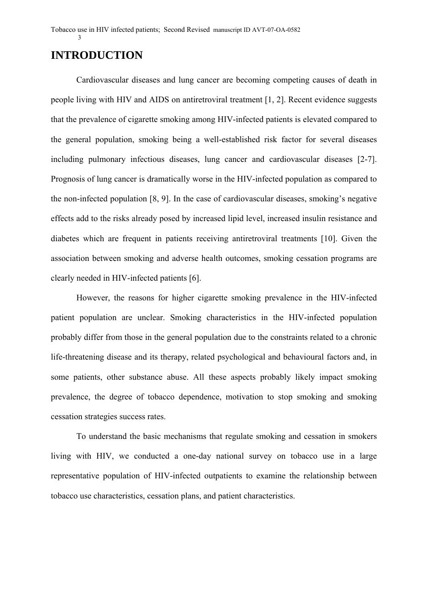## **INTRODUCTION**

Cardiovascular diseases and lung cancer are becoming competing causes of death in people living with HIV and AIDS on antiretroviral treatment [1, 2]. Recent evidence suggests that the prevalence of cigarette smoking among HIV-infected patients is elevated compared to the general population, smoking being a well-established risk factor for several diseases including pulmonary infectious diseases, lung cancer and cardiovascular diseases [2-7]. Prognosis of lung cancer is dramatically worse in the HIV-infected population as compared to the non-infected population [8, 9]. In the case of cardiovascular diseases, smoking's negative effects add to the risks already posed by increased lipid level, increased insulin resistance and diabetes which are frequent in patients receiving antiretroviral treatments [10]. Given the association between smoking and adverse health outcomes, smoking cessation programs are clearly needed in HIV-infected patients [6].

However, the reasons for higher cigarette smoking prevalence in the HIV-infected patient population are unclear. Smoking characteristics in the HIV-infected population probably differ from those in the general population due to the constraints related to a chronic life-threatening disease and its therapy, related psychological and behavioural factors and, in some patients, other substance abuse. All these aspects probably likely impact smoking prevalence, the degree of tobacco dependence, motivation to stop smoking and smoking cessation strategies success rates.

To understand the basic mechanisms that regulate smoking and cessation in smokers living with HIV, we conducted a one-day national survey on tobacco use in a large representative population of HIV-infected outpatients to examine the relationship between tobacco use characteristics, cessation plans, and patient characteristics.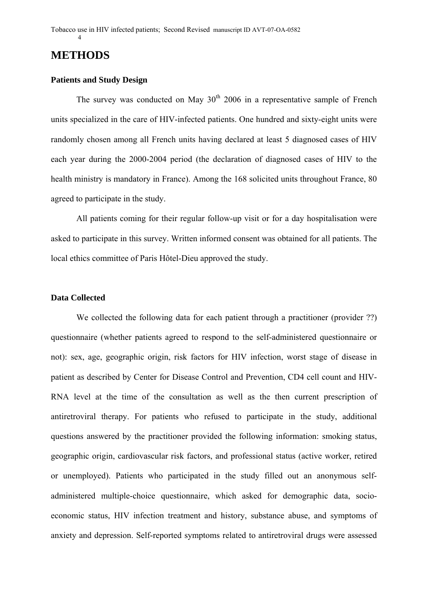### **METHODS**

4

#### **Patients and Study Design**

The survey was conducted on May  $30<sup>th</sup>$  2006 in a representative sample of French units specialized in the care of HIV-infected patients. One hundred and sixty-eight units were randomly chosen among all French units having declared at least 5 diagnosed cases of HIV each year during the 2000-2004 period (the declaration of diagnosed cases of HIV to the health ministry is mandatory in France). Among the 168 solicited units throughout France, 80 agreed to participate in the study.

All patients coming for their regular follow-up visit or for a day hospitalisation were asked to participate in this survey. Written informed consent was obtained for all patients. The local ethics committee of Paris Hôtel-Dieu approved the study.

#### **Data Collected**

We collected the following data for each patient through a practitioner (provider ??) questionnaire (whether patients agreed to respond to the self-administered questionnaire or not): sex, age, geographic origin, risk factors for HIV infection, worst stage of disease in patient as described by Center for Disease Control and Prevention, CD4 cell count and HIV-RNA level at the time of the consultation as well as the then current prescription of antiretroviral therapy. For patients who refused to participate in the study, additional questions answered by the practitioner provided the following information: smoking status, geographic origin, cardiovascular risk factors, and professional status (active worker, retired or unemployed). Patients who participated in the study filled out an anonymous selfadministered multiple-choice questionnaire, which asked for demographic data, socioeconomic status, HIV infection treatment and history, substance abuse, and symptoms of anxiety and depression. Self-reported symptoms related to antiretroviral drugs were assessed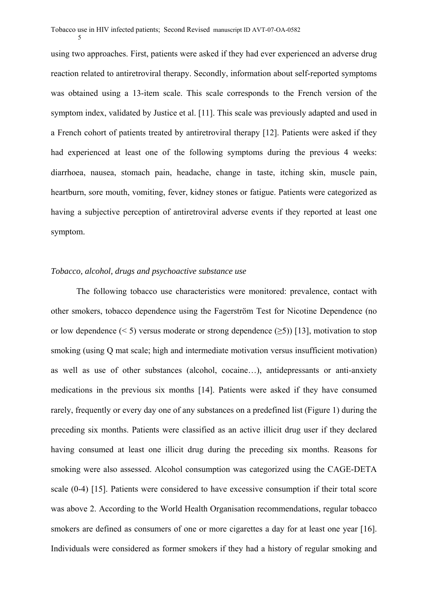5

using two approaches. First, patients were asked if they had ever experienced an adverse drug reaction related to antiretroviral therapy. Secondly, information about self-reported symptoms was obtained using a 13-item scale. This scale corresponds to the French version of the symptom index, validated by Justice et al. [11]. This scale was previously adapted and used in a French cohort of patients treated by antiretroviral therapy [12]. Patients were asked if they had experienced at least one of the following symptoms during the previous 4 weeks: diarrhoea, nausea, stomach pain, headache, change in taste, itching skin, muscle pain, heartburn, sore mouth, vomiting, fever, kidney stones or fatigue. Patients were categorized as having a subjective perception of antiretroviral adverse events if they reported at least one symptom.

#### *Tobacco, alcohol, drugs and psychoactive substance use*

The following tobacco use characteristics were monitored: prevalence, contact with other smokers, tobacco dependence using the Fagerström Test for Nicotine Dependence (no or low dependence (< 5) versus moderate or strong dependence ( $\geq$ 5)) [13], motivation to stop smoking (using Q mat scale; high and intermediate motivation versus insufficient motivation) as well as use of other substances (alcohol, cocaine…), antidepressants or anti-anxiety medications in the previous six months [14]. Patients were asked if they have consumed rarely, frequently or every day one of any substances on a predefined list (Figure 1) during the preceding six months. Patients were classified as an active illicit drug user if they declared having consumed at least one illicit drug during the preceding six months. Reasons for smoking were also assessed. Alcohol consumption was categorized using the CAGE-DETA scale (0-4) [15]. Patients were considered to have excessive consumption if their total score was above 2. According to the World Health Organisation recommendations, regular tobacco smokers are defined as consumers of one or more cigarettes a day for at least one year [16]. Individuals were considered as former smokers if they had a history of regular smoking and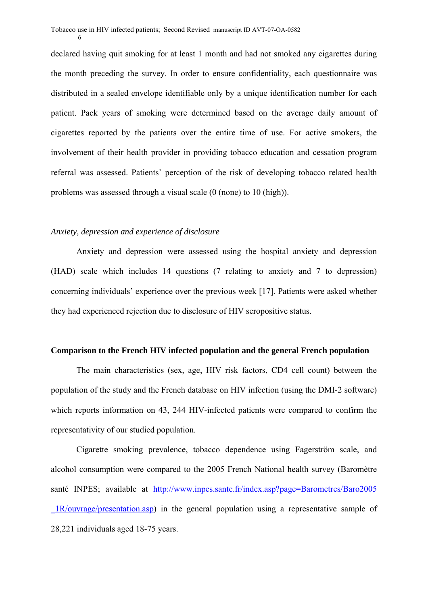declared having quit smoking for at least 1 month and had not smoked any cigarettes during the month preceding the survey. In order to ensure confidentiality, each questionnaire was distributed in a sealed envelope identifiable only by a unique identification number for each patient. Pack years of smoking were determined based on the average daily amount of cigarettes reported by the patients over the entire time of use. For active smokers, the involvement of their health provider in providing tobacco education and cessation program referral was assessed. Patients' perception of the risk of developing tobacco related health problems was assessed through a visual scale (0 (none) to 10 (high)).

#### *Anxiety, depression and experience of disclosure*

6

Anxiety and depression were assessed using the hospital anxiety and depression (HAD) scale which includes 14 questions (7 relating to anxiety and 7 to depression) concerning individuals' experience over the previous week [17]. Patients were asked whether they had experienced rejection due to disclosure of HIV seropositive status.

#### **Comparison to the French HIV infected population and the general French population**

The main characteristics (sex, age, HIV risk factors, CD4 cell count) between the population of the study and the French database on HIV infection (using the DMI-2 software) which reports information on 43, 244 HIV-infected patients were compared to confirm the representativity of our studied population.

Cigarette smoking prevalence, tobacco dependence using Fagerström scale, and alcohol consumption were compared to the 2005 French National health survey (Baromètre santé INPES; available at http://www.inpes.sante.fr/index.asp?page=Barometres/Baro2005 \_1R/ouvrage/presentation.asp) in the general population using a representative sample of 28,221 individuals aged 18-75 years.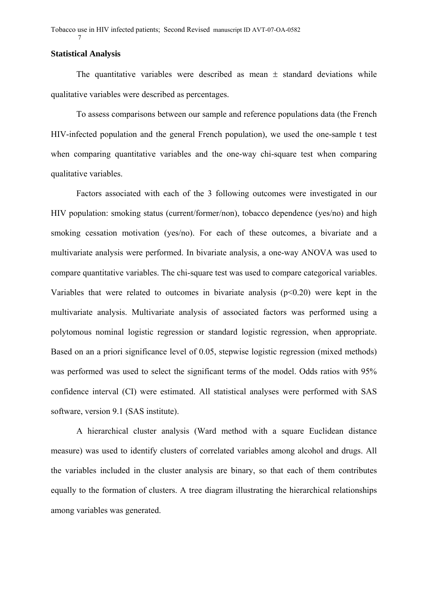#### **Statistical Analysis**

7

The quantitative variables were described as mean  $\pm$  standard deviations while qualitative variables were described as percentages.

To assess comparisons between our sample and reference populations data (the French HIV-infected population and the general French population), we used the one-sample t test when comparing quantitative variables and the one-way chi-square test when comparing qualitative variables.

Factors associated with each of the 3 following outcomes were investigated in our HIV population: smoking status (current/former/non), tobacco dependence (yes/no) and high smoking cessation motivation (yes/no). For each of these outcomes, a bivariate and a multivariate analysis were performed. In bivariate analysis, a one-way ANOVA was used to compare quantitative variables. The chi-square test was used to compare categorical variables. Variables that were related to outcomes in bivariate analysis  $(p<0.20)$  were kept in the multivariate analysis. Multivariate analysis of associated factors was performed using a polytomous nominal logistic regression or standard logistic regression, when appropriate. Based on an a priori significance level of 0.05, stepwise logistic regression (mixed methods) was performed was used to select the significant terms of the model. Odds ratios with 95% confidence interval (CI) were estimated. All statistical analyses were performed with SAS software, version 9.1 (SAS institute).

A hierarchical cluster analysis (Ward method with a square Euclidean distance measure) was used to identify clusters of correlated variables among alcohol and drugs. All the variables included in the cluster analysis are binary, so that each of them contributes equally to the formation of clusters. A tree diagram illustrating the hierarchical relationships among variables was generated.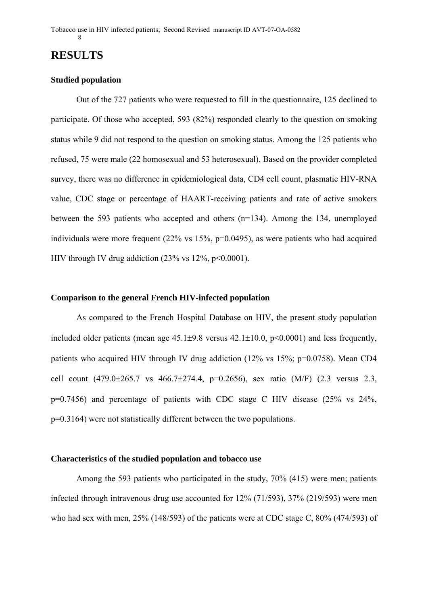### **RESULTS**

#### **Studied population**

Out of the 727 patients who were requested to fill in the questionnaire, 125 declined to participate. Of those who accepted, 593 (82%) responded clearly to the question on smoking status while 9 did not respond to the question on smoking status. Among the 125 patients who refused, 75 were male (22 homosexual and 53 heterosexual). Based on the provider completed survey, there was no difference in epidemiological data, CD4 cell count, plasmatic HIV-RNA value, CDC stage or percentage of HAART-receiving patients and rate of active smokers between the 593 patients who accepted and others (n=134). Among the 134, unemployed individuals were more frequent (22% vs 15%, p=0.0495), as were patients who had acquired HIV through IV drug addiction  $(23\% \text{ vs } 12\%, \text{ p} < 0.0001)$ .

#### **Comparison to the general French HIV-infected population**

As compared to the French Hospital Database on HIV, the present study population included older patients (mean age  $45.1\pm9.8$  versus  $42.1\pm10.0$ ,  $p<0.0001$ ) and less frequently, patients who acquired HIV through IV drug addiction (12% vs 15%; p=0.0758). Mean CD4 cell count  $(479.0\pm 265.7 \text{ vs } 466.7\pm 274.4, \text{ p=0.2656})$ , sex ratio  $(M/F)$   $(2.3 \text{ versus } 2.3,$ p=0.7456) and percentage of patients with CDC stage C HIV disease (25% vs 24%, p=0.3164) were not statistically different between the two populations.

#### **Characteristics of the studied population and tobacco use**

Among the 593 patients who participated in the study, 70% (415) were men; patients infected through intravenous drug use accounted for 12% (71/593), 37% (219/593) were men who had sex with men, 25% (148/593) of the patients were at CDC stage C, 80% (474/593) of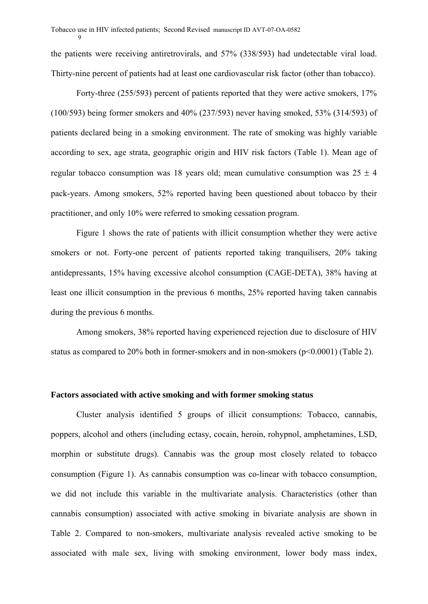9

the patients were receiving antiretrovirals, and 57% (338/593) had undetectable viral load. Thirty-nine percent of patients had at least one cardiovascular risk factor (other than tobacco).

Forty-three (255/593) percent of patients reported that they were active smokers, 17% (100/593) being former smokers and 40% (237/593) never having smoked, 53% (314/593) of patients declared being in a smoking environment. The rate of smoking was highly variable according to sex, age strata, geographic origin and HIV risk factors (Table 1). Mean age of regular tobacco consumption was 18 years old; mean cumulative consumption was  $25 \pm 4$ pack-years. Among smokers, 52% reported having been questioned about tobacco by their practitioner, and only 10% were referred to smoking cessation program.

Figure 1 shows the rate of patients with illicit consumption whether they were active smokers or not. Forty-one percent of patients reported taking tranquilisers, 20% taking antidepressants, 15% having excessive alcohol consumption (CAGE-DETA), 38% having at least one illicit consumption in the previous 6 months, 25% reported having taken cannabis during the previous 6 months.

Among smokers, 38% reported having experienced rejection due to disclosure of HIV status as compared to 20% both in former-smokers and in non-smokers (p<0.0001) (Table 2).

#### **Factors associated with active smoking and with former smoking status**

Cluster analysis identified 5 groups of illicit consumptions: Tobacco, cannabis, poppers, alcohol and others (including ectasy, cocain, heroin, rohypnol, amphetamines, LSD, morphin or substitute drugs). Cannabis was the group most closely related to tobacco consumption (Figure 1). As cannabis consumption was co-linear with tobacco consumption, we did not include this variable in the multivariate analysis. Characteristics (other than cannabis consumption) associated with active smoking in bivariate analysis are shown in Table 2. Compared to non-smokers, multivariate analysis revealed active smoking to be associated with male sex, living with smoking environment, lower body mass index,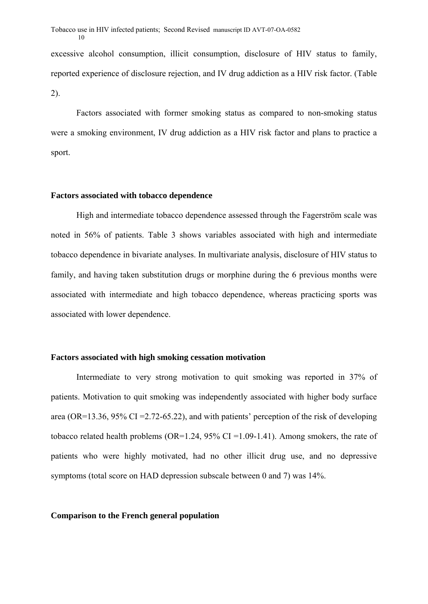excessive alcohol consumption, illicit consumption, disclosure of HIV status to family, reported experience of disclosure rejection, and IV drug addiction as a HIV risk factor. (Table 2).

Factors associated with former smoking status as compared to non-smoking status were a smoking environment, IV drug addiction as a HIV risk factor and plans to practice a sport.

#### **Factors associated with tobacco dependence**

High and intermediate tobacco dependence assessed through the Fagerström scale was noted in 56% of patients. Table 3 shows variables associated with high and intermediate tobacco dependence in bivariate analyses. In multivariate analysis, disclosure of HIV status to family, and having taken substitution drugs or morphine during the 6 previous months were associated with intermediate and high tobacco dependence, whereas practicing sports was associated with lower dependence.

#### **Factors associated with high smoking cessation motivation**

Intermediate to very strong motivation to quit smoking was reported in 37% of patients. Motivation to quit smoking was independently associated with higher body surface area (OR=13.36, 95% CI = 2.72-65.22), and with patients' perception of the risk of developing tobacco related health problems (OR=1.24, 95% CI = 1.09-1.41). Among smokers, the rate of patients who were highly motivated, had no other illicit drug use, and no depressive symptoms (total score on HAD depression subscale between 0 and 7) was 14%.

#### **Comparison to the French general population**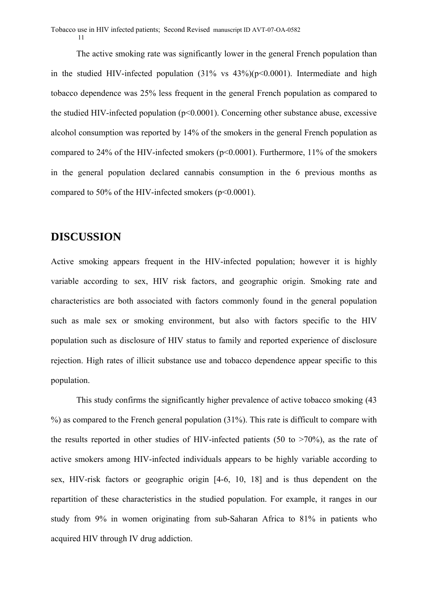The active smoking rate was significantly lower in the general French population than in the studied HIV-infected population  $(31\% \text{ vs } 43\%)(p<0.0001)$ . Intermediate and high tobacco dependence was 25% less frequent in the general French population as compared to the studied HIV-infected population ( $p<0.0001$ ). Concerning other substance abuse, excessive alcohol consumption was reported by 14% of the smokers in the general French population as compared to 24% of the HIV-infected smokers (p<0.0001). Furthermore, 11% of the smokers in the general population declared cannabis consumption in the 6 previous months as compared to 50% of the HIV-infected smokers (p<0.0001).

### **DISCUSSION**

Active smoking appears frequent in the HIV-infected population; however it is highly variable according to sex, HIV risk factors, and geographic origin. Smoking rate and characteristics are both associated with factors commonly found in the general population such as male sex or smoking environment, but also with factors specific to the HIV population such as disclosure of HIV status to family and reported experience of disclosure rejection. High rates of illicit substance use and tobacco dependence appear specific to this population.

This study confirms the significantly higher prevalence of active tobacco smoking (43  $\%$ ) as compared to the French general population (31%). This rate is difficult to compare with the results reported in other studies of HIV-infected patients (50 to  $>70\%$ ), as the rate of active smokers among HIV-infected individuals appears to be highly variable according to sex, HIV-risk factors or geographic origin [4-6, 10, 18] and is thus dependent on the repartition of these characteristics in the studied population. For example, it ranges in our study from 9% in women originating from sub-Saharan Africa to 81% in patients who acquired HIV through IV drug addiction.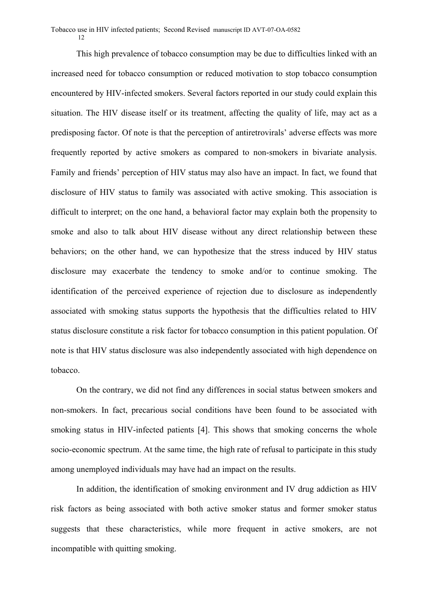This high prevalence of tobacco consumption may be due to difficulties linked with an increased need for tobacco consumption or reduced motivation to stop tobacco consumption encountered by HIV-infected smokers. Several factors reported in our study could explain this situation. The HIV disease itself or its treatment, affecting the quality of life, may act as a predisposing factor. Of note is that the perception of antiretrovirals' adverse effects was more frequently reported by active smokers as compared to non-smokers in bivariate analysis. Family and friends' perception of HIV status may also have an impact. In fact, we found that disclosure of HIV status to family was associated with active smoking. This association is difficult to interpret; on the one hand, a behavioral factor may explain both the propensity to smoke and also to talk about HIV disease without any direct relationship between these behaviors; on the other hand, we can hypothesize that the stress induced by HIV status disclosure may exacerbate the tendency to smoke and/or to continue smoking. The identification of the perceived experience of rejection due to disclosure as independently associated with smoking status supports the hypothesis that the difficulties related to HIV status disclosure constitute a risk factor for tobacco consumption in this patient population. Of note is that HIV status disclosure was also independently associated with high dependence on tobacco.

On the contrary, we did not find any differences in social status between smokers and non-smokers. In fact, precarious social conditions have been found to be associated with smoking status in HIV-infected patients [4]. This shows that smoking concerns the whole socio-economic spectrum. At the same time, the high rate of refusal to participate in this study among unemployed individuals may have had an impact on the results.

In addition, the identification of smoking environment and IV drug addiction as HIV risk factors as being associated with both active smoker status and former smoker status suggests that these characteristics, while more frequent in active smokers, are not incompatible with quitting smoking.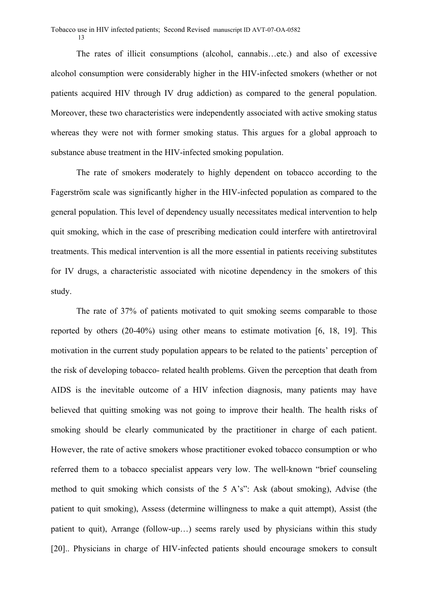The rates of illicit consumptions (alcohol, cannabis…etc.) and also of excessive alcohol consumption were considerably higher in the HIV-infected smokers (whether or not patients acquired HIV through IV drug addiction) as compared to the general population. Moreover, these two characteristics were independently associated with active smoking status whereas they were not with former smoking status. This argues for a global approach to substance abuse treatment in the HIV-infected smoking population.

The rate of smokers moderately to highly dependent on tobacco according to the Fagerström scale was significantly higher in the HIV-infected population as compared to the general population. This level of dependency usually necessitates medical intervention to help quit smoking, which in the case of prescribing medication could interfere with antiretroviral treatments. This medical intervention is all the more essential in patients receiving substitutes for IV drugs, a characteristic associated with nicotine dependency in the smokers of this study.

The rate of 37% of patients motivated to quit smoking seems comparable to those reported by others (20-40%) using other means to estimate motivation [6, 18, 19]. This motivation in the current study population appears to be related to the patients' perception of the risk of developing tobacco- related health problems. Given the perception that death from AIDS is the inevitable outcome of a HIV infection diagnosis, many patients may have believed that quitting smoking was not going to improve their health. The health risks of smoking should be clearly communicated by the practitioner in charge of each patient. However, the rate of active smokers whose practitioner evoked tobacco consumption or who referred them to a tobacco specialist appears very low. The well-known "brief counseling method to quit smoking which consists of the 5 A's": Ask (about smoking), Advise (the patient to quit smoking), Assess (determine willingness to make a quit attempt), Assist (the patient to quit), Arrange (follow-up…) seems rarely used by physicians within this study [20].. Physicians in charge of HIV-infected patients should encourage smokers to consult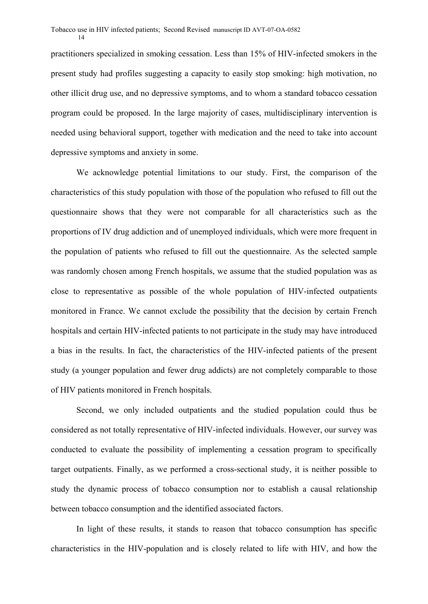practitioners specialized in smoking cessation. Less than 15% of HIV-infected smokers in the present study had profiles suggesting a capacity to easily stop smoking: high motivation, no other illicit drug use, and no depressive symptoms, and to whom a standard tobacco cessation program could be proposed. In the large majority of cases, multidisciplinary intervention is needed using behavioral support, together with medication and the need to take into account depressive symptoms and anxiety in some.

We acknowledge potential limitations to our study. First, the comparison of the characteristics of this study population with those of the population who refused to fill out the questionnaire shows that they were not comparable for all characteristics such as the proportions of IV drug addiction and of unemployed individuals, which were more frequent in the population of patients who refused to fill out the questionnaire. As the selected sample was randomly chosen among French hospitals, we assume that the studied population was as close to representative as possible of the whole population of HIV-infected outpatients monitored in France. We cannot exclude the possibility that the decision by certain French hospitals and certain HIV-infected patients to not participate in the study may have introduced a bias in the results. In fact, the characteristics of the HIV-infected patients of the present study (a younger population and fewer drug addicts) are not completely comparable to those of HIV patients monitored in French hospitals.

Second, we only included outpatients and the studied population could thus be considered as not totally representative of HIV-infected individuals. However, our survey was conducted to evaluate the possibility of implementing a cessation program to specifically target outpatients. Finally, as we performed a cross-sectional study, it is neither possible to study the dynamic process of tobacco consumption nor to establish a causal relationship between tobacco consumption and the identified associated factors.

In light of these results, it stands to reason that tobacco consumption has specific characteristics in the HIV-population and is closely related to life with HIV, and how the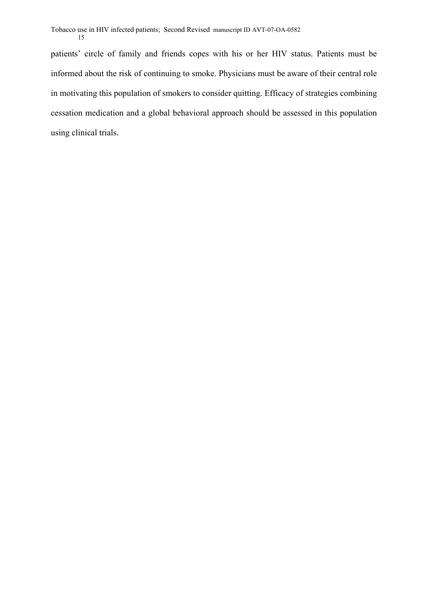patients' circle of family and friends copes with his or her HIV status. Patients must be informed about the risk of continuing to smoke. Physicians must be aware of their central role in motivating this population of smokers to consider quitting. Efficacy of strategies combining cessation medication and a global behavioral approach should be assessed in this population using clinical trials.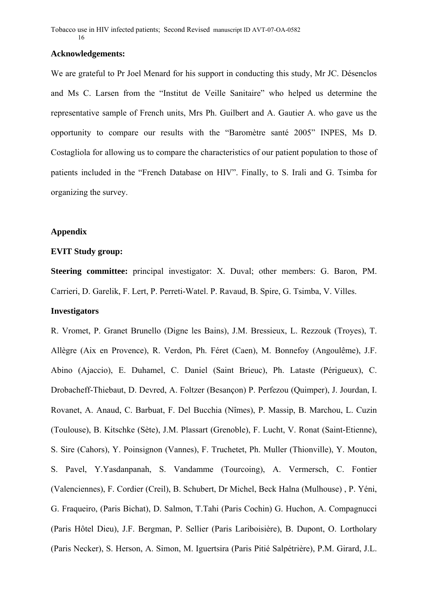#### **Acknowledgements:**

We are grateful to Pr Joel Menard for his support in conducting this study, Mr JC. Désenclos and Ms C. Larsen from the "Institut de Veille Sanitaire" who helped us determine the representative sample of French units, Mrs Ph. Guilbert and A. Gautier A. who gave us the opportunity to compare our results with the "Baromètre santé 2005" INPES, Ms D. Costagliola for allowing us to compare the characteristics of our patient population to those of patients included in the "French Database on HIV". Finally, to S. Irali and G. Tsimba for organizing the survey.

#### **Appendix**

#### **EVIT Study group:**

**Steering committee:** principal investigator: X. Duval; other members: G. Baron, PM. Carrieri, D. Garelik, F. Lert, P. Perreti-Watel. P. Ravaud, B. Spire, G. Tsimba, V. Villes.

#### **Investigators**

R. Vromet, P. Granet Brunello (Digne les Bains), J.M. Bressieux, L. Rezzouk (Troyes), T. Allègre (Aix en Provence), R. Verdon, Ph. Féret (Caen), M. Bonnefoy (Angoulême), J.F. Abino (Ajaccio), E. Duhamel, C. Daniel (Saint Brieuc), Ph. Lataste (Périgueux), C. Drobacheff-Thiebaut, D. Devred, A. Foltzer (Besançon) P. Perfezou (Quimper), J. Jourdan, I. Rovanet, A. Anaud, C. Barbuat, F. Del Bucchia (Nîmes), P. Massip, B. Marchou, L. Cuzin (Toulouse), B. Kitschke (Sète), J.M. Plassart (Grenoble), F. Lucht, V. Ronat (Saint-Etienne), S. Sire (Cahors), Y. Poinsignon (Vannes), F. Truchetet, Ph. Muller (Thionville), Y. Mouton, S. Pavel, Y.Yasdanpanah, S. Vandamme (Tourcoing), A. Vermersch, C. Fontier (Valenciennes), F. Cordier (Creil), B. Schubert, Dr Michel, Beck Halna (Mulhouse) , P. Yéni, G. Fraqueiro, (Paris Bichat), D. Salmon, T.Tahi (Paris Cochin) G. Huchon, A. Compagnucci (Paris Hôtel Dieu), J.F. Bergman, P. Sellier (Paris Lariboisière), B. Dupont, O. Lortholary (Paris Necker), S. Herson, A. Simon, M. Iguertsira (Paris Pitié Salpétrière), P.M. Girard, J.L.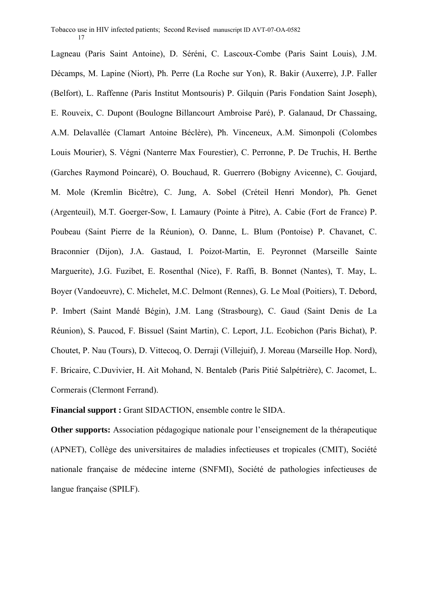Lagneau (Paris Saint Antoine), D. Séréni, C. Lascoux-Combe (Paris Saint Louis), J.M. Décamps, M. Lapine (Niort), Ph. Perre (La Roche sur Yon), R. Bakir (Auxerre), J.P. Faller (Belfort), L. Raffenne (Paris Institut Montsouris) P. Gilquin (Paris Fondation Saint Joseph), E. Rouveix, C. Dupont (Boulogne Billancourt Ambroise Paré), P. Galanaud, Dr Chassaing, A.M. Delavallée (Clamart Antoine Béclère), Ph. Vinceneux, A.M. Simonpoli (Colombes Louis Mourier), S. Végni (Nanterre Max Fourestier), C. Perronne, P. De Truchis, H. Berthe (Garches Raymond Poincaré), O. Bouchaud, R. Guerrero (Bobigny Avicenne), C. Goujard, M. Mole (Kremlin Bicêtre), C. Jung, A. Sobel (Créteil Henri Mondor), Ph. Genet (Argenteuil), M.T. Goerger-Sow, I. Lamaury (Pointe à Pitre), A. Cabie (Fort de France) P. Poubeau (Saint Pierre de la Réunion), O. Danne, L. Blum (Pontoise) P. Chavanet, C. Braconnier (Dijon), J.A. Gastaud, I. Poizot-Martin, E. Peyronnet (Marseille Sainte Marguerite), J.G. Fuzibet, E. Rosenthal (Nice), F. Raffi, B. Bonnet (Nantes), T. May, L. Boyer (Vandoeuvre), C. Michelet, M.C. Delmont (Rennes), G. Le Moal (Poitiers), T. Debord, P. Imbert (Saint Mandé Bégin), J.M. Lang (Strasbourg), C. Gaud (Saint Denis de La Réunion), S. Paucod, F. Bissuel (Saint Martin), C. Leport, J.L. Ecobichon (Paris Bichat), P. Choutet, P. Nau (Tours), D. Vittecoq, O. Derraji (Villejuif), J. Moreau (Marseille Hop. Nord), F. Bricaire, C.Duvivier, H. Ait Mohand, N. Bentaleb (Paris Pitié Salpétrière), C. Jacomet, L. Cormerais (Clermont Ferrand).

**Financial support :** Grant SIDACTION, ensemble contre le SIDA.

**Other supports:** Association pédagogique nationale pour l'enseignement de la thérapeutique (APNET), Collège des universitaires de maladies infectieuses et tropicales (CMIT), Société nationale française de médecine interne (SNFMI), Société de pathologies infectieuses de langue française (SPILF).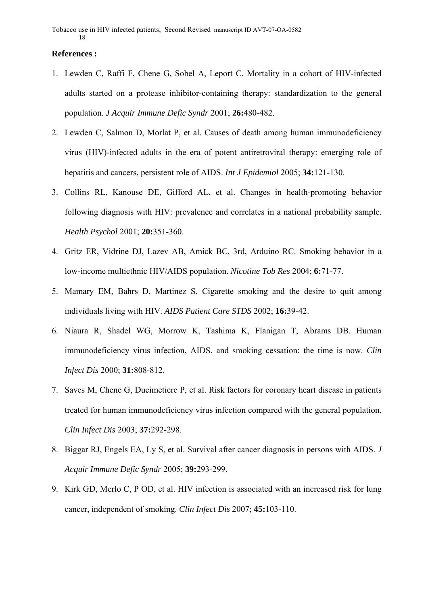#### **References :**

- 1. Lewden C, Raffi F, Chene G, Sobel A, Leport C. Mortality in a cohort of HIV-infected adults started on a protease inhibitor-containing therapy: standardization to the general population. *J Acquir Immune Defic Syndr* 2001; **26:**480-482.
- 2. Lewden C, Salmon D, Morlat P, et al. Causes of death among human immunodeficiency virus (HIV)-infected adults in the era of potent antiretroviral therapy: emerging role of hepatitis and cancers, persistent role of AIDS. *Int J Epidemiol* 2005; **34:**121-130.
- 3. Collins RL, Kanouse DE, Gifford AL, et al. Changes in health-promoting behavior following diagnosis with HIV: prevalence and correlates in a national probability sample. *Health Psychol* 2001; **20:**351-360.
- 4. Gritz ER, Vidrine DJ, Lazev AB, Amick BC, 3rd, Arduino RC. Smoking behavior in a low-income multiethnic HIV/AIDS population. *Nicotine Tob Res* 2004; **6:**71-77.
- 5. Mamary EM, Bahrs D, Martinez S. Cigarette smoking and the desire to quit among individuals living with HIV. *AIDS Patient Care STDS* 2002; **16:**39-42.
- 6. Niaura R, Shadel WG, Morrow K, Tashima K, Flanigan T, Abrams DB. Human immunodeficiency virus infection, AIDS, and smoking cessation: the time is now. *Clin Infect Dis* 2000; **31:**808-812.
- 7. Saves M, Chene G, Ducimetiere P, et al. Risk factors for coronary heart disease in patients treated for human immunodeficiency virus infection compared with the general population. *Clin Infect Dis* 2003; **37:**292-298.
- 8. Biggar RJ, Engels EA, Ly S, et al. Survival after cancer diagnosis in persons with AIDS. *J Acquir Immune Defic Syndr* 2005; **39:**293-299.
- 9. Kirk GD, Merlo C, P OD, et al. HIV infection is associated with an increased risk for lung cancer, independent of smoking. *Clin Infect Dis* 2007; **45:**103-110.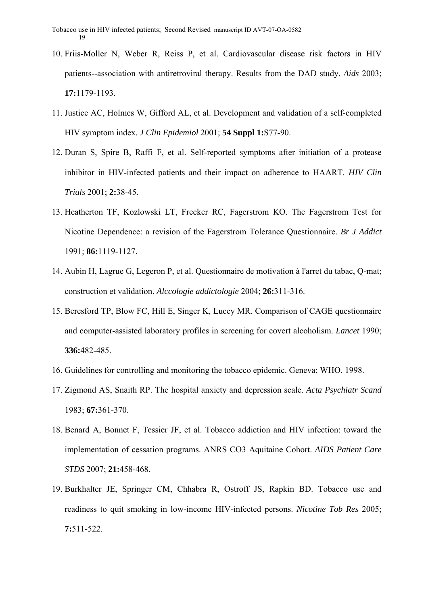- 10. Friis-Moller N, Weber R, Reiss P, et al. Cardiovascular disease risk factors in HIV patients--association with antiretroviral therapy. Results from the DAD study. *Aids* 2003; **17:**1179-1193.
- 11. Justice AC, Holmes W, Gifford AL, et al. Development and validation of a self-completed HIV symptom index. *J Clin Epidemiol* 2001; **54 Suppl 1:**S77-90.
- 12. Duran S, Spire B, Raffi F, et al. Self-reported symptoms after initiation of a protease inhibitor in HIV-infected patients and their impact on adherence to HAART. *HIV Clin Trials* 2001; **2:**38-45.
- 13. Heatherton TF, Kozlowski LT, Frecker RC, Fagerstrom KO. The Fagerstrom Test for Nicotine Dependence: a revision of the Fagerstrom Tolerance Questionnaire. *Br J Addict*  1991; **86:**1119-1127.
- 14. Aubin H, Lagrue G, Legeron P, et al. Questionnaire de motivation à l'arret du tabac, Q-mat; construction et validation. *Alccologie addictologie* 2004; **26:**311-316.
- 15. Beresford TP, Blow FC, Hill E, Singer K, Lucey MR. Comparison of CAGE questionnaire and computer-assisted laboratory profiles in screening for covert alcoholism. *Lancet* 1990; **336:**482-485.
- 16. Guidelines for controlling and monitoring the tobacco epidemic. Geneva; WHO. 1998.
- 17. Zigmond AS, Snaith RP. The hospital anxiety and depression scale. *Acta Psychiatr Scand*  1983; **67:**361-370.
- 18. Benard A, Bonnet F, Tessier JF, et al. Tobacco addiction and HIV infection: toward the implementation of cessation programs. ANRS CO3 Aquitaine Cohort. *AIDS Patient Care STDS* 2007; **21:**458-468.
- 19. Burkhalter JE, Springer CM, Chhabra R, Ostroff JS, Rapkin BD. Tobacco use and readiness to quit smoking in low-income HIV-infected persons. *Nicotine Tob Res* 2005; **7:**511-522.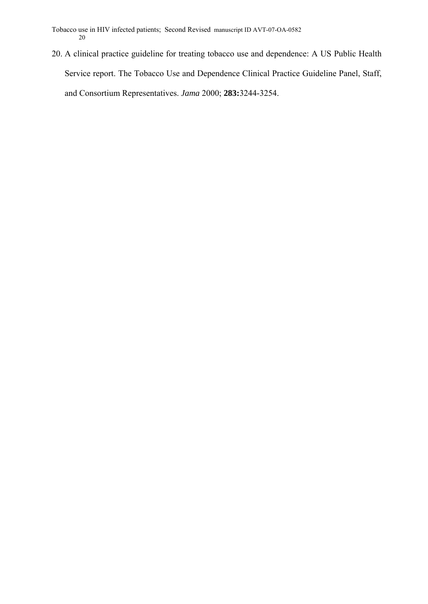20. A clinical practice guideline for treating tobacco use and dependence: A US Public Health Service report. The Tobacco Use and Dependence Clinical Practice Guideline Panel, Staff, and Consortium Representatives. *Jama* 2000; **283:**3244-3254.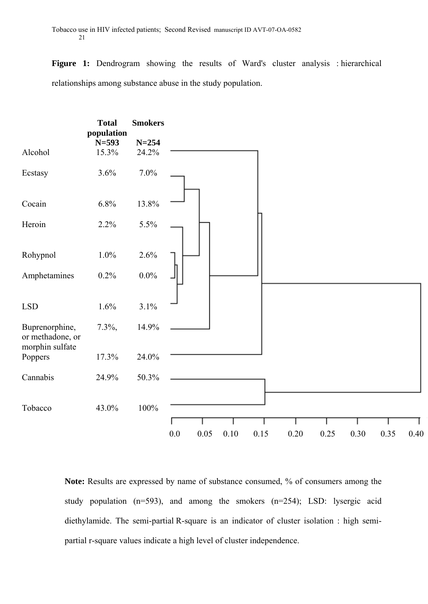Figure 1: Dendrogram showing the results of Ward's cluster analysis : hierarchical relationships among substance abuse in the study population.



**Note:** Results are expressed by name of substance consumed, % of consumers among the study population (n=593), and among the smokers (n=254); LSD: lysergic acid diethylamide. The semi-partial R-square is an indicator of cluster isolation : high semipartial r-square values indicate a high level of cluster independence.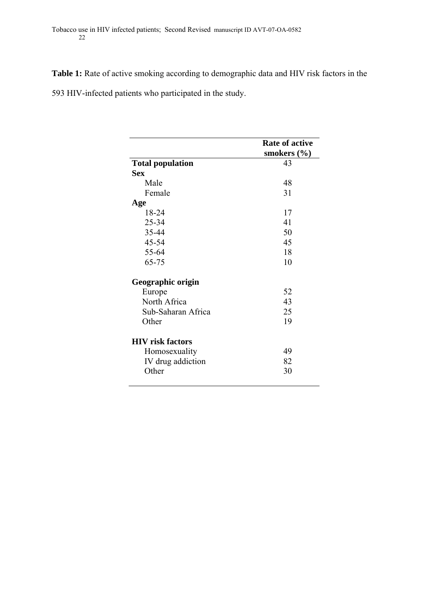**Table 1:** Rate of active smoking according to demographic data and HIV risk factors in the

593 HIV-infected patients who participated in the study.

|                         | <b>Rate of active</b> |
|-------------------------|-----------------------|
|                         | smokers $(\% )$       |
| <b>Total population</b> | 43                    |
| <b>Sex</b>              |                       |
| Male                    | 48                    |
| Female                  | 31                    |
| Age                     |                       |
| 18-24                   | 17                    |
| 25-34                   | 41                    |
| 35-44                   | 50                    |
| 45-54                   | 45                    |
| 55-64                   | 18                    |
| 65-75                   | 10                    |
| Geographic origin       |                       |
| Europe                  | 52                    |
| North Africa            | 43                    |
| Sub-Saharan Africa      | 25                    |
| Other                   | 19                    |
| <b>HIV</b> risk factors |                       |
| Homosexuality           | 49                    |
| IV drug addiction       | 82                    |
| Other                   | 30                    |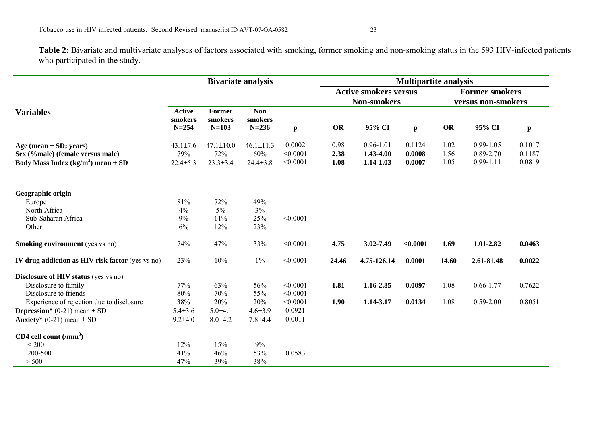**Table 2:** Bivariate and multivariate analyses of factors associated with smoking, former smoking and non-smoking status in the 593 HIV-infected patients who participated in the study.

|                                                    | <b>Bivariate analysis</b> |                   |                       |          | <b>Multipartite analysis</b>                       |               |              |                                             |               |        |  |
|----------------------------------------------------|---------------------------|-------------------|-----------------------|----------|----------------------------------------------------|---------------|--------------|---------------------------------------------|---------------|--------|--|
|                                                    |                           |                   |                       |          | <b>Active smokers versus</b><br><b>Non-smokers</b> |               |              | <b>Former smokers</b><br>versus non-smokers |               |        |  |
|                                                    |                           |                   |                       |          |                                                    |               |              |                                             |               |        |  |
| <b>Variables</b>                                   | <b>Active</b><br>smokers  | Former<br>smokers | <b>Non</b><br>smokers |          |                                                    |               |              |                                             |               |        |  |
|                                                    | $N = 254$                 | $N=103$           | $N = 236$             | D        | <b>OR</b>                                          | 95% CI        | $\mathbf{p}$ | OR                                          | 95% CI        | p      |  |
| Age (mean $\pm$ SD; years)                         | $43.1 \pm 7.6$            | $47.1 \pm 10.0$   | $46.1 \pm 11.3$       | 0.0002   | 0.98                                               | $0.96 - 1.01$ | 0.1124       | 1.02                                        | $0.99 - 1.05$ | 0.1017 |  |
| Sex (%male) (female versus male)                   | 79%                       | 72%               | 60%                   | < 0.0001 | 2.38                                               | 1.43-4.00     | 0.0008       | 1.56                                        | $0.89 - 2.70$ | 0.1187 |  |
| Body Mass Index (kg/m <sup>2</sup> ) mean $\pm$ SD | $22.4 \pm 5.3$            | $23.3 \pm 3.4$    | $24.4 \pm 3.8$        | < 0.0001 | 1.08                                               | 1.14-1.03     | 0.0007       | 1.05                                        | $0.99 - 1.11$ | 0.0819 |  |
| Geographic origin                                  |                           |                   |                       |          |                                                    |               |              |                                             |               |        |  |
| Europe                                             | 81%                       | 72%               | 49%                   |          |                                                    |               |              |                                             |               |        |  |
| North Africa                                       | 4%                        | $5\%$             | 3%                    |          |                                                    |               |              |                                             |               |        |  |
| Sub-Saharan Africa                                 | 9%                        | 11%               | 25%                   | < 0.0001 |                                                    |               |              |                                             |               |        |  |
| Other                                              | 6%                        | 12%               | 23%                   |          |                                                    |               |              |                                             |               |        |  |
| <b>Smoking environment</b> (yes vs no)             | 74%                       | 47%               | 33%                   | < 0.0001 | 4.75                                               | 3.02-7.49     | < 0.0001     | 1.69                                        | 1.01-2.82     | 0.0463 |  |
| IV drug addiction as HIV risk factor (yes vs no)   | 23%                       | 10%               | $1\%$                 | < 0.0001 | 24.46                                              | 4.75-126.14   | 0.0001       | 14.60                                       | 2.61-81.48    | 0.0022 |  |
| <b>Disclosure of HIV status</b> (yes vs no)        |                           |                   |                       |          |                                                    |               |              |                                             |               |        |  |
| Disclosure to family                               | 77%                       | 63%               | 56%                   | < 0.0001 | 1.81                                               | 1.16-2.85     | 0.0097       | 1.08                                        | $0.66 - 1.77$ | 0.7622 |  |
| Disclosure to friends                              | 80%                       | 70%               | 55%                   | < 0.0001 |                                                    |               |              |                                             |               |        |  |
| Experience of rejection due to disclosure          | 38%                       | 20%               | 20%                   | < 0.0001 | 1.90                                               | 1.14-3.17     | 0.0134       | 1.08                                        | $0.59 - 2.00$ | 0.8051 |  |
| <b>Depression</b> * (0-21) mean $\pm$ SD           | $5.4 \pm 3.6$             | $5.0{\pm}4.1$     | $4.6 \pm 3.9$         | 0.0921   |                                                    |               |              |                                             |               |        |  |
| <b>Anxiety</b> * (0-21) mean $\pm$ SD              | $9.2{\pm}4.0$             | $8.0 + 4.2$       | $7.8 + 4.4$           | 0.0011   |                                                    |               |              |                                             |               |        |  |
| CD4 cell count $(mm3)$                             |                           |                   |                       |          |                                                    |               |              |                                             |               |        |  |
| < 200                                              | 12%                       | 15%               | 9%                    |          |                                                    |               |              |                                             |               |        |  |
| 200-500                                            | 41%                       | 46%               | 53%                   | 0.0583   |                                                    |               |              |                                             |               |        |  |
| > 500                                              | 47%                       | 39%               | 38%                   |          |                                                    |               |              |                                             |               |        |  |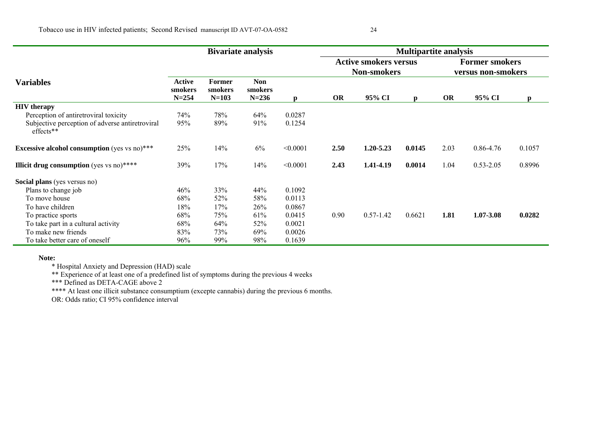|                                                              | <b>Bivariate analysis</b>      |                              |                                    |              | <b>Multipartite analysis</b>                       |               |              |                                             |               |        |
|--------------------------------------------------------------|--------------------------------|------------------------------|------------------------------------|--------------|----------------------------------------------------|---------------|--------------|---------------------------------------------|---------------|--------|
|                                                              |                                |                              |                                    |              | <b>Active smokers versus</b><br><b>Non-smokers</b> |               |              | <b>Former smokers</b><br>versus non-smokers |               |        |
| <b>Variables</b>                                             | Active<br>smokers<br>$N = 254$ | Former<br>smokers<br>$N=103$ | <b>Non</b><br>smokers<br>$N = 236$ | $\mathbf{D}$ | <b>OR</b>                                          | 95% CI        | $\mathbf{p}$ | <b>OR</b>                                   | 95% CI        | p      |
| <b>HIV</b> therapy                                           |                                |                              |                                    |              |                                                    |               |              |                                             |               |        |
| Perception of antiretroviral toxicity                        | 74%                            | 78%                          | 64%                                | 0.0287       |                                                    |               |              |                                             |               |        |
| Subjective perception of adverse antiretroviral<br>effects** | 95%                            | 89%                          | 91%                                | 0.1254       |                                                    |               |              |                                             |               |        |
| <b>Excessive alcohol consumption</b> (yes vs no)***          | 25%                            | 14%                          | 6%                                 | < 0.0001     | 2.50                                               | $1,20-5,23$   | 0.0145       | 2.03                                        | 0.86-4.76     | 0.1057 |
| <b>Illicit drug consumption</b> (yes vs no) $***$            | 39%                            | 17%                          | 14%                                | < 0.0001     | 2.43                                               | 1.41-4.19     | 0.0014       | 1.04                                        | $0.53 - 2.05$ | 0.8996 |
| Social plans (yes versus no)                                 |                                |                              |                                    |              |                                                    |               |              |                                             |               |        |
| Plans to change job                                          | 46%                            | 33%                          | 44%                                | 0.1092       |                                                    |               |              |                                             |               |        |
| To move house                                                | 68%                            | 52%                          | 58%                                | 0.0113       |                                                    |               |              |                                             |               |        |
| To have children                                             | 18%                            | 17%                          | 26%                                | 0.0867       |                                                    |               |              |                                             |               |        |
| To practice sports                                           | 68%                            | 75%                          | 61%                                | 0.0415       | 0.90                                               | $0.57 - 1.42$ | 0.6621       | 1.81                                        | 1.07-3.08     | 0.0282 |
| To take part in a cultural activity                          | 68%                            | 64%                          | 52%                                | 0.0021       |                                                    |               |              |                                             |               |        |
| To make new friends                                          | 83%                            | 73%                          | 69%                                | 0.0026       |                                                    |               |              |                                             |               |        |
| To take better care of oneself                               | 96%                            | 99%                          | 98%                                | 0.1639       |                                                    |               |              |                                             |               |        |

#### **Note:**

\* Hospital Anxiety and Depression (HAD) scale

\*\* Experience of at least one of a predefined list of symptoms during the previous 4 weeks

\*\*\* Defined as DETA-CAGE above 2

\*\*\*\* At least one illicit substance consumptium (excepte cannabis) during the previous 6 months.

OR: Odds ratio; CI 95% confidence interval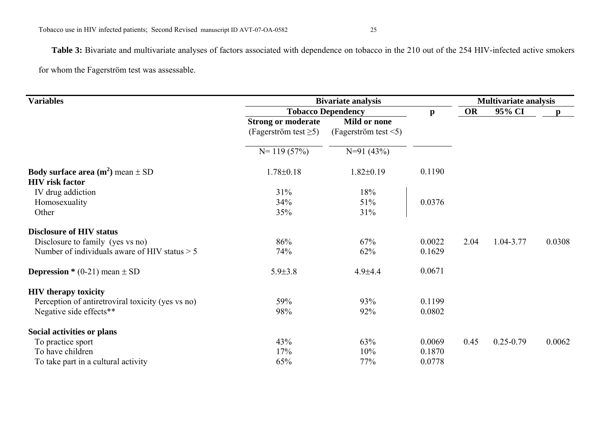Table 3: Bivariate and multivariate analyses of factors associated with dependence on tobacco in the 210 out of the 254 HIV-infected active smokers for whom the Fagerström test was assessable.

| <b>Variables</b>                                                                 | <b>Bivariate analysis</b>                                | <b>Multivariate analysis</b>               |              |      |               |              |
|----------------------------------------------------------------------------------|----------------------------------------------------------|--------------------------------------------|--------------|------|---------------|--------------|
|                                                                                  |                                                          | <b>Tobacco Dependency</b>                  |              |      | 95% CI        | $\mathbf{D}$ |
|                                                                                  | <b>Strong or moderate</b><br>(Fagerström test $\geq 5$ ) | Mild or none<br>(Fagerström test $\leq$ 5) | $\mathbf{p}$ |      |               |              |
|                                                                                  | $N = 119(57%)$                                           | $N=91(43%)$                                |              |      |               |              |
| <b>Body surface area (m<sup>2</sup>)</b> mean $\pm$ SD<br><b>HIV</b> risk factor | $1.78 \pm 0.18$                                          | $1.82 \pm 0.19$                            | 0.1190       |      |               |              |
| IV drug addiction                                                                | 31%                                                      | 18%                                        |              |      |               |              |
| Homosexuality                                                                    | 34%                                                      | 51%                                        | 0.0376       |      |               |              |
| Other                                                                            | 35%                                                      | 31%                                        |              |      |               |              |
| <b>Disclosure of HIV status</b>                                                  |                                                          |                                            |              |      |               |              |
| Disclosure to family (yes vs no)                                                 | 86%                                                      | 67%                                        | 0.0022       | 2.04 | 1.04-3.77     | 0.0308       |
| Number of individuals aware of HIV status $> 5$                                  | 74%                                                      | 62%                                        | 0.1629       |      |               |              |
| <b>Depression</b> * (0-21) mean $\pm$ SD                                         | $5.9 \pm 3.8$                                            | $4.9{\pm}4.4$                              | 0.0671       |      |               |              |
| <b>HIV</b> therapy toxicity                                                      |                                                          |                                            |              |      |               |              |
| Perception of antiretroviral toxicity (yes vs no)                                | 59%                                                      | 93%                                        | 0.1199       |      |               |              |
| Negative side effects**                                                          | 98%                                                      | 92%                                        | 0.0802       |      |               |              |
| Social activities or plans                                                       |                                                          |                                            |              |      |               |              |
| To practice sport                                                                | 43%                                                      | 63%                                        | 0.0069       | 0.45 | $0.25 - 0.79$ | 0.0062       |
| To have children                                                                 | 17%                                                      | 10%                                        | 0.1870       |      |               |              |
| To take part in a cultural activity                                              | 65%                                                      | 77%                                        | 0.0778       |      |               |              |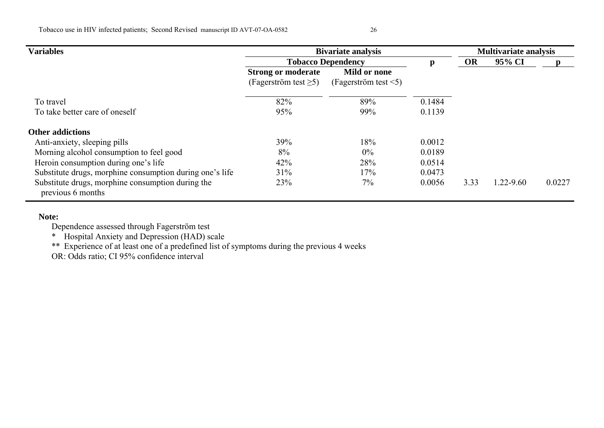| <b>Variables</b>                                                       | <b>Bivariate analysis</b>   | <b>Multivariate analysis</b> |        |           |           |        |
|------------------------------------------------------------------------|-----------------------------|------------------------------|--------|-----------|-----------|--------|
|                                                                        |                             | <b>Tobacco Dependency</b>    | p      | <b>OR</b> | 95% CI    |        |
|                                                                        | <b>Strong or moderate</b>   | Mild or none                 |        |           |           |        |
|                                                                        | (Fagerström test $\geq 5$ ) | (Fagerström test $\leq 5$ )  |        |           |           |        |
| To travel                                                              | 82%                         | 89%                          | 0.1484 |           |           |        |
| To take better care of oneself                                         | 95%                         | 99%                          | 0.1139 |           |           |        |
| <b>Other addictions</b>                                                |                             |                              |        |           |           |        |
| Anti-anxiety, sleeping pills                                           | 39%                         | 18%                          | 0.0012 |           |           |        |
| Morning alcohol consumption to feel good                               | 8%                          | $0\%$                        | 0.0189 |           |           |        |
| Heroin consumption during one's life                                   | 42%                         | 28%                          | 0.0514 |           |           |        |
| Substitute drugs, morphine consumption during one's life               | 31%                         | 17%                          | 0.0473 |           |           |        |
| Substitute drugs, morphine consumption during the<br>previous 6 months | 23%                         | $7\%$                        | 0.0056 | 3.33      | 1.22-9.60 | 0.0227 |

#### **Note:**

Dependence assessed through Fagerström test

\* Hospital Anxiety and Depression (HAD) scale

\*\* Experience of at least one of a predefined list of symptoms during the previous 4 weeks

OR: Odds ratio; CI 95% confidence interval